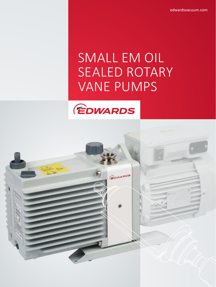edwardsvacuum.com

# SMALL EM OIL SEALED ROTARY VANE PUMPS

GOWARDS

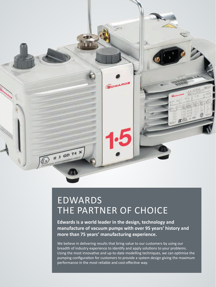

# EDWARDS THE PARTNER OF CHOICE

**Edwards is a world leader in the design, technology and manufacture of vacuum pumps with over 95 years' history and more than 75 years' manufacturing experience.** 

We believe in delivering results that bring value to our customers by using our breadth of industry experience to identify and apply solutions to your problems. Using the most innovative and up-to-date modelling techniques, we can optimise the pumping configuration for customers to provide a system design giving the maximum performance in the most reliable and cost-effective way.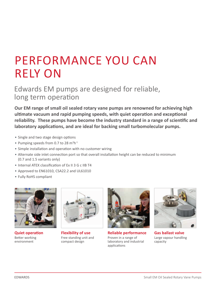# PERFORMANCE YOU CAN RELY ON

Edwards EM pumps are designed for reliable, long term operation

**Our EM range of small oil sealed rotary vane pumps are renowned for achieving high ultimate vacuum and rapid pumping speeds, with quiet operation and exceptional reliability. These pumps have become the industry standard in a range of scientific and laboratory applications, and are ideal for backing small turbomolecular pumps.**

- Single and two stage design options
- Pumping speeds from 0.7 to 28  $m^3h^1$
- Simple installation and operation with no customer wiring
- Alternate side inlet connection port so that overall installation height can be reduced to minimum (0.7 and 1.5 variants only)
- Internal ATEX classification of Ex II 3 G c IIB T4
- Approved to EN61010, CSA22.2 and UL61010
- Fully RoHS compliant



**Quiet operation** Better working environment



**Flexibility of use** Free standing unit and compact design



**Reliable performance** Proven in a range of laboratory and industrial applications



**Gas ballast valve** Large vapour handling capacity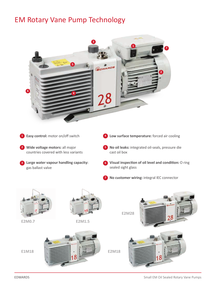# EM Rotary Vane Pump Technology



- **Easy control:** motor on/off switch **1 4**
- **Wide voltage motors:** all major **2 5** countries covered with less variants
- **1 Large water vapour handling capacity:** gas ballast valve
- **4** Low surface temperature: forced air cooling
- **No oil leaks:** integrated oil-seals, pressure die cast oil box
- **Visual inspection of oil level and condition:** O ring sealed sight glass
	- **No customer wiring:** integral IEC connector **7**

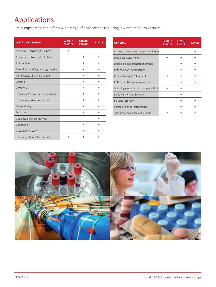# Applications

EM pumps are suitable for a wide range of applications requiring low and medium vacuum:

| <b>INSTRUMENTATION</b>              | <b>E2M0.7</b><br>E2M1.5 | <b>E1M18</b><br><b>E2M18</b> | <b>E2M28</b> |
|-------------------------------------|-------------------------|------------------------------|--------------|
| Analytical instruments - GCMS       |                         |                              |              |
| Analytical instruments - LCMS       |                         |                              |              |
| Automotive                          |                         |                              |              |
| Beam lines and high energy physics  |                         |                              |              |
| Centrifuges, ultra-high speed       |                         |                              |              |
| Coating                             |                         |                              |              |
| Cryogenics                          |                         |                              |              |
| Degassing/curing - oil, epoxy resin |                         |                              |              |
| Distillation/extraction/filtration  |                         |                              |              |
| Freeze drying                       |                         |                              |              |
| <b>Furnaces</b>                     |                         |                              |              |
| Gas bottle filling/emptying         |                         |                              |              |
| Gel drying                          |                         |                              |              |
| Glove boxes, ovens                  |                         |                              |              |
| Laboratory bench top vacuum         |                         |                              |              |

| <b>GENERAL</b>                          | <b>E2M0.7</b><br><b>E2M1.5</b> | <b>E1M18</b><br><b>E2M18</b> | <b>E2M28</b> |
|-----------------------------------------|--------------------------------|------------------------------|--------------|
| Lasers, gas recovery and re-circulation |                                |                              |              |
| Leak detectors, Helium                  |                                |                              |              |
| Load locks and transfer chambers        |                                |                              |              |
| Refrigeration manufacture               |                                |                              |              |
| Research and development                |                                |                              |              |
| Rotary, centrifugal evaporators         |                                |                              |              |
| Scanning electron microscopes - SEM     |                                |                              |              |
| SEM/FIB (Ion beam repair)               |                                |                              |              |
| Solvent recovery                        |                                |                              |              |
| Surface science instruments             |                                |                              |              |
| Turbomolecular backing pumps            |                                |                              |              |

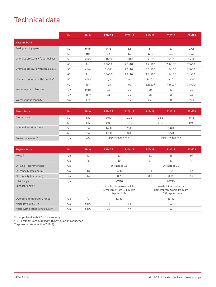# Technical data

|                                             | Hz. | <b>Units</b> | <b>E2M0.7</b>        | E2M1.5               | <b>E1M18</b>         | <b>E2M18</b>  | <b>E2M28</b>  |
|---------------------------------------------|-----|--------------|----------------------|----------------------|----------------------|---------------|---------------|
| <b>Vacuum Data</b>                          |     |              |                      |                      |                      |               |               |
| Peak pumping speed                          | 50  | $m3h-1$      | 0.75                 | 1.6                  | 17                   | 17            | 27.5          |
|                                             | 60  | cfm          | 0.5                  | 1.2                  | 12.1                 | 12.1          | 19.5          |
| Ultimate pressure w/o gas ballast           | 50  | mbar         | $3.0x10^{-3}$        | $3x10^{-3}$          | $3x10^{-2}$          | $1x10^{-3}$   | $1x10^{-3}$   |
|                                             | 60  | Torr         | $2.3 \times 10^{-3}$ | $2.3 \times 10^{-3}$ | $2.2 \times 10^{-2}$ | $7.4x10^{-4}$ | $7.5x10^{-4}$ |
| Ultimate pressure with gas ballast          | 50  | mbar         | $2x10^{-1}$          | $2.5x10^{-2}$        | $6.5x10^{-1}$        | $1.5x10^{-2}$ | $1.5x10^{-2}$ |
|                                             | 60  | Torr         | $1.5x10^{-1}$        | $1.9x10^{-2}$        | $4.8x10^{-1}$        | $1.1x10^{-2}$ | $1.1x10^{-2}$ |
| Ultimate pressure with Fomblin <sup>®</sup> | 50  | mbar         | n/a                  | n/a                  | $3x10^{-1}$          | $1x10^{-2}$   | $1x10^{-2}$   |
|                                             | 60  | Torr         | n/a                  | n/a                  | $2.3 \times 10^{-1}$ | $7.5x10^{-3}$ | $7.5x10^{-3}$ |
| Water vapour tolerance                      | n/a | mbar         | 15                   | 15                   | 50                   | 20            | 30            |
|                                             | n/a | Torr         | 11                   | 11                   | 38                   | 15            | 23            |
| Water vapour capacity                       | n/a | g/h          | 8                    | 16                   | 650                  | 300           | 700           |

| <b>Motor Data</b>              | <b>Hz</b> | <b>Units</b> | E2M0.7                 | E2M1.5 | E1M18                  | <b>E2M18</b> | <b>E2M28</b> |
|--------------------------------|-----------|--------------|------------------------|--------|------------------------|--------------|--------------|
| Motor power                    | 50        | kW           | 0.09                   | 0.16   | 0.55                   |              | 0.75         |
|                                | 60        | kW           | 0.09                   | 0.16   | 0.75                   |              | 0.90         |
| Nominal rotation speed         | 50        | rpm          | 1400                   | 2800   | 1440                   |              |              |
|                                | 60        | rpm          | 1700                   | 3400   |                        | 1720         |              |
| Power connector <sup>(1)</sup> | n/a       | n/a          | <b>IEC EN60320 C13</b> |        | <b>IEC EN60320 C19</b> |              |              |

| <b>Physical Data</b>                | Hz. | <b>Units</b>  | E2M0.7                                                                       | E2M1.5        | E1M18 | <b>E2M18</b>                                                               | <b>E2M28</b> |
|-------------------------------------|-----|---------------|------------------------------------------------------------------------------|---------------|-------|----------------------------------------------------------------------------|--------------|
| Weight                              | n/a | $\mathsf{lb}$ |                                                                              | 22            | 82    | 86                                                                         | 97           |
|                                     | n/a | kg            |                                                                              | 10            | 37    | 39                                                                         | 44           |
| Oil type (recommended)              | n/a |               |                                                                              | Ultragrade 15 |       | Ultragrade 19                                                              |              |
| Oil capacity (maximum)              | n/a | litre         | 0.28                                                                         |               | 1.4   | 1.05                                                                       | 1.5          |
| Oil capacity (minimum)              | n/a | litre         | 0.2                                                                          |               | 0.9   | 0.75                                                                       | 1.2          |
| Inlet flange                        | n/a |               | NW10                                                                         |               |       | <b>NW25</b>                                                                |              |
| Exhaust flange <sup>(2)</sup>       |     |               | Nozzle 11mm external $\emptyset$<br>removable from 3/4 in BSP<br>tapped hole |               |       | Nozzle 15 mm external<br>diameter removable from 3/4<br>in BSP tapped hole |              |
| Operating temperature range         | n/a | $^{\circ}$ C  | $12 - 40$                                                                    |               |       | 13-40                                                                      |              |
| Noise level at 50 Hz                | n/a | dB(A)         | 43                                                                           | 54            |       | 57                                                                         |              |
| Noise with acoustic enclosure $(3)$ | n/a | dB(A)         | 36                                                                           | 47            |       | 50                                                                         |              |

<sup>(1)</sup> pumps listed with IEC connector only

<sup>(2)</sup> PFPE variants are supplied with NW25 outlet connection

 $^{(3)}$  approx. noise reduction 7 dB(A)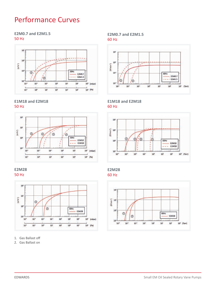# Performance Curves

### **E2M0.7 and E2M1.5**  50 Hz



**E1M18 and E2M18**  50 Hz







1. Gas Ballast off

2. Gas Ballast on

### **E2M0.7 and E2M1.5**  60 Hz



### **E1M18 and E2M18**  60 Hz



**E2M28** 60 Hz

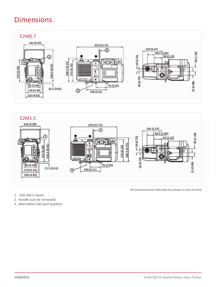# Dimensions





- 1. 220-240 V motor
- 2. Handle (can be removed)
- 3. Alternative inlet port position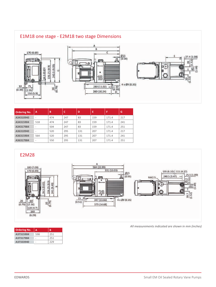

| <b>Ordering No.</b> | A                        | B   | c   | D   | Е   | F     | G   |
|---------------------|--------------------------|-----|-----|-----|-----|-------|-----|
| A34310940           | -                        | 474 | 247 | 83  | 159 | 171.4 | 217 |
| A34315904           | 518                      | 474 | 247 | 83  | 159 | 171.4 | 241 |
| A34317984           | -                        | 504 | 247 | 83  | 159 | 171.4 | 251 |
| A36310940           | $\overline{\phantom{a}}$ | 520 | 295 | 131 | 207 | 171.4 | 217 |
| A36315904           | 564                      | 520 | 295 | 131 | 207 | 171.4 | 241 |
| A36317984           | ۰                        | 550 | 295 | 131 | 207 | 171.4 | 251 |

### E2M28



#### *All measurements indicated are shown in mm (inches)*

| <b>Ordering No.</b> | A   | в   |
|---------------------|-----|-----|
| A37315904           | 598 | 251 |
| A37317984           | -   | 251 |
| A37333940           |     | 229 |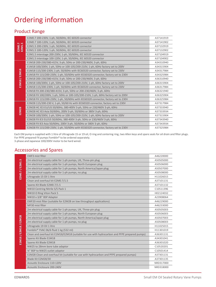# Ordering information

# Product Range

|                  | E2M0.7 200-230V, 1-ph, 50/60Hz, IEC 60320 connector                               | A37141919 |
|------------------|-----------------------------------------------------------------------------------|-----------|
|                  | E2M0.7 100-120V, 1-ph, 50/60Hz, IEC 60320 connector                               | A37141902 |
| E2M0.7<br>E2M1.5 | E2M1.5 200-230V, 1-ph, 50/60Hz, IEC 60320 connector                               | A37132919 |
|                  | E2M1.5 100-120V, 1-ph, 50/60Hz, IEC 60320 connector                               | A37132902 |
|                  | E2M1.5 interstage 200-230V, 1-ph, 50/60Hz, IEC 60320 connector                    | A37104919 |
|                  | E2M1.5 interstage 100-120V, 1-ph, 50/60Hz, IEC 60320 connector                    | A37104902 |
|                  | E1M18 200-230/380-415V, 3-ph, 50Hz or 200-230/460V, 3-ph, 60Hz                    | A34310940 |
|                  | E1M18 100/200V, 1-ph, 50Hz or 100-105/200-210V, 1-ph, 60Hz factory set to 200V    | A34315904 |
|                  | E1M18 115/200-230V, 1-ph, 50/60Hz with IEC60320 connector, factory set to 230V    | A34317984 |
| E1M18 / E2M18    | E1M18 FX 115/200-230V, 1-ph, 50/60Hz with IEC60320 connector, factory set to 230V | A34325984 |
|                  | E2M18 200-230/380-415V, 3-ph, 50Hz or 200-230/460V, 3-ph, 60Hz                    | A36310940 |
|                  | E2M18 100/200V, 1-ph, 50Hz or 100-105/200-210V, 1-ph, 60Hz factory set to 200V    | A36315904 |
|                  | E2M18 115/200-230V, 1-ph, 50/60Hz with IEC60320 connector, factory set to 230V    | A36317984 |
|                  | E2M18 FX 200-230/380-415V, 3-ph, 50Hz or 200-230/460V, 3-ph, 60Hz                 | A36321940 |
|                  | E2M18 FX 100/200V, 1-ph, 50Hz or 100-105/200-210V, 1-ph, 60Hz factory set to 200V | A36325904 |
|                  | E2M18 FX 115/200-230V, 1-ph, 50/60Hz with IEC60320 connector, factory set to 230V | A36325984 |
|                  | E2M28 115/200-230 V, 1-ph, 50/60 Hz with IEC60320 connector, factory set to 230V  | A37317984 |
|                  | E2M28 HC IE3 EU/US 50/60Hz, 380-400V 3-ph, 50Hz or 230/460V 3-ph, 60Hz            | A37333940 |
| <b>E2M28</b>     | E2M28 HC IE3 Asia 50/60Hz, 200V 3-ph, 50/60Hz or 380V 3-ph, 60Hz                  | A37333934 |
|                  | E2M28 100/200V, 1-ph, 50Hz or 100-105/200-210V, 1-ph, 60Hz factory set to 200V    | A37315904 |
|                  | E2M28 FX IE3 EU/US 50/60Hz, 380-400V 3-ph, 50Hz or 230/460V 3-ph, 60Hz            | A37343940 |
|                  | E2M28 FX IE3 Asia 50/60Hz, 200V 3-ph, 50/60Hz or 380V 3-ph, 60Hz                  | A37343934 |
|                  | E2M28 FX 115/200-230V, 1-ph, 50/60Hz with IEC60320 connector, factory set to 230V | A37325984 |

Each EM pump is supplied with 1 litre of Ultragrade 15 or 19 oil, O ring and centering ring, two Allen keys and spare seals for oil drain and filter plugs. For PFPE prepared FX pumps Fomblin® to be ordered separately. 3-phase and Japanese 100/200V motor to be hard wired.

### Accessories and Spares

|                       | <b>EMF3</b> mist filter                                                                        | A46220000 |
|-----------------------|------------------------------------------------------------------------------------------------|-----------|
|                       | 2m electrical supply cable for 1-ph pumps, UK, Three-pin plug                                  | A50505000 |
|                       | 2m electrical supply cable for 1-ph pumps, North European plug                                 | A50506000 |
|                       | 2m electrical supply cable for 1-ph pumps, North America/Japan plug                            | A50507000 |
|                       | 2m electrical supply cable for 1-ph pumps, no plug                                             | A50508000 |
| E2M0.7 / E2M1.5       | Ultragrade 15 Oil 1 litre                                                                      | H11026015 |
|                       | Clean and overhaul kit E2M0.7/1.5                                                              | A37101131 |
|                       | Spares Kit Blade E2M0.7/1.5                                                                    | A37101132 |
|                       | NW10 Centring Nitrile S/S Pack 1                                                               | C10511396 |
|                       | NW10 O Ring Viton Pack 5                                                                       | H02124032 |
|                       | NW10 x 3/8" BSP Adapter                                                                        | A23908064 |
|                       | EMF20 mist filter (suitable for E2M28 on low throughput applications)                          | A46229000 |
|                       | MF30 mist filter                                                                               | A46233000 |
|                       | 2m electrical supply cable for 1-ph pumps, UK, Three-pin plug                                  | A50505003 |
|                       | 2m electrical supply cable for 1-ph pumps, North European plug                                 | A50506003 |
|                       | 2m electrical supply cable for 1-ph pumps, North America/Japan plug                            | A50507003 |
|                       | 2m electrical supply cable for 1-ph pumps, no plug                                             | A50508003 |
|                       | Ultragrade 19 Oil 1 litre                                                                      | H11025015 |
|                       | Fomblin <sup>®</sup> YVAC 06/6 fluid 1 kg (532 ml)                                             | H11301019 |
| E1M18 / E2M18 / E2M28 | Clean and overhaul kit E1M18/E2M18 (suitable for use with hydrocarbon and PFPE prepared pumps) | A36301131 |
|                       | Spares Kit Blade E1M18                                                                         | A34301041 |
|                       | Spares Kit Blade E2M18                                                                         | A36301020 |
|                       | NW25 to 28mm bore tube adaptor                                                                 | C10520201 |
|                       | 3/4" BSP to NW25 outlet adaptor                                                                | C10501414 |
|                       | E2M28 Clean and overhaul kit (suitable for use with hydrocarbon and PFPE prepared pumps)       | A37301131 |
|                       | Blade Kit E2M28/30                                                                             | A37301135 |
|                       | Acoustic Enclosure 110-120V                                                                    | NRD317000 |
|                       | Acoustic Enclosure 200-240V                                                                    | NRD318000 |
|                       |                                                                                                |           |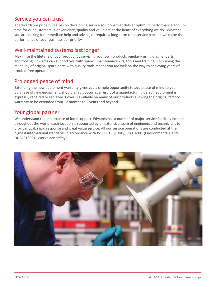### Service you can trust

At Edwards we pride ourselves on developing service solutions that deliver optimum performance and uptime for our customers. Convenience, quality and value are at the heart of everything we do. Whether you are looking for immediate help and advice, or require a long-term total service partner, we make the performance of your business our priority.

## Well-maintained systems last longer

Maximise the lifetime of your product by servicing your own products regularly using original parts and tooling. Edwards can support you with spares, maintenance kits, tools and training. Combining the reliability of original spare parts with quality tools means you are well on the way to achieving years of trouble-free operation.

## Prolonged peace of mind

Extending the new equipment warranty gives you a simple opportunity to add peace of mind to your purchase of new equipment, should a fault occur as a result of a manufacturing defect, equipment is expressly repaired or replaced. Cover is available on many of our products allowing the original factory warranty to be extended from 12 months to 2 years and beyond.

### Your global partner

We understand the importance of local support. Edwards has a number of major service facilities located throughout the world, each location is supported by an extensive team of engineers and technicians to provide local, rapid response and great value service. All our service operations are conducted at the highest international standards in accordance with ISO9001 (Quality), ISO14001 (Environmental), and OHSAS18001 (Workplace safety).